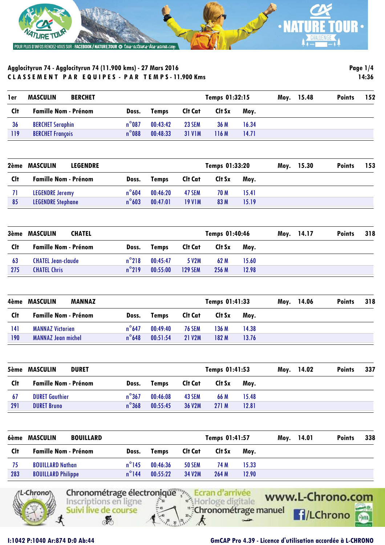

| 1er         | MASCULIN                    | <b>BERCHET</b> |                 |          |                     | Temps 01:32:15 |       | Moy. 15.48 | <b>Points</b> | 152 |
|-------------|-----------------------------|----------------|-----------------|----------|---------------------|----------------|-------|------------|---------------|-----|
| <b>C</b> lt | <b>Famille Nom - Prénom</b> |                | Doss.           | Temps    | Clt Cat             | Clt Sx         | Mov.  |            |               |     |
| 36          | <b>BERCHET Seraphin</b>     |                | $n^{\circ}$ 087 | 00.43.42 | <b>23 SEM</b>       | 36 M           | 16.34 |            |               |     |
| 119         | <b>BERCHET François</b>     |                | $n^{\circ}088$  | 00:48:33 | 31 V <sub>1</sub> M | 116 M          | 14.71 |            |               |     |

| 2ème | MASCULIN<br><b>LEGENDRE</b> |                |          |               | Temps 01:33:20 |       | Moy. 15.30 | <b>Points</b> | 153 |
|------|-----------------------------|----------------|----------|---------------|----------------|-------|------------|---------------|-----|
| Clt. | <b>Famille Nom - Prénom</b> | Doss.          | Temps    | Clt Cat       | Clt Sx         | Mov.  |            |               |     |
| 71   | <b>LEGENDRE Jeremy</b>      | $n^{\circ}604$ | 00:46:20 | 47 SEM        | 70 M           | 15.41 |            |               |     |
| 85   | <b>LEGENDRE Stephane</b>    | $n^{\circ}603$ | 00:47:01 | <b>19 VIM</b> | 83 M           | 15.19 |            |               |     |

|     | 3ème MASCULIN<br><b>CHATEL</b> |                 |             |                | Temps 01:40:46 |       | Moy. 14.17 | <b>Points</b> | 318 |
|-----|--------------------------------|-----------------|-------------|----------------|----------------|-------|------------|---------------|-----|
| Clt | <b>Famille Nom - Prénom</b>    |                 | Doss. Temps | Clt Cat Clt Sx |                | Mov.  |            |               |     |
| 63  | <b>CHATEL Jean-claude</b>      | $n^{\circ}$ 218 | 00.45:47    | 5 V2M          | 62 M           | 15.60 |            |               |     |
| 275 | <b>CHATEL Chris</b>            | $n^{\circ}219$  | 00:55:00    | <b>129 SEM</b> | 256 M          | 12.98 |            |               |     |

| 4ème        | MASCULIN<br><b>MANNAZ</b>   |                 |          |                     | Temps 01:41:33 |       | Moy. 14.06 | <b>Points</b> | 318 |
|-------------|-----------------------------|-----------------|----------|---------------------|----------------|-------|------------|---------------|-----|
| <b>C</b> lt | <b>Famille Nom - Prénom</b> | Doss.           | Temps    | Clt Cat             | Clt Sx         | Mov.  |            |               |     |
| 141         | <b>MANNAZ Victorien</b>     | $n^{\circ}647$  | 00.49:40 | <b>76 SEM</b>       | 136 M          | 14.38 |            |               |     |
| 190         | MANNAZ Jean michel          | $n^{\circ}$ 648 | 00:51:54 | 21 V <sub>2</sub> M | 182 M          | 13.76 |            |               |     |

|     | 5ème MASCULIN<br><b>DURET</b> |                |          |         | Temps 01:41:53 |       | Moy. 14.02 | <b>Points</b> | 337 |
|-----|-------------------------------|----------------|----------|---------|----------------|-------|------------|---------------|-----|
| Clt | <b>Famille Nom - Prénom</b>   | Doss.          | Temps    | Clt Cat | Clt Sx         | Mov.  |            |               |     |
| -67 | <b>DURET Gauthier</b>         | $n^{\circ}367$ | 00.46:08 | 43 SEM  | 66 M           | 15.48 |            |               |     |
| 291 | <b>DURET Bruno</b>            | $n^{\circ}368$ | 00:55:45 | 36 V2M  | 271 M          | 12.81 |            |               |     |

| 6ème       | MASCULIN<br><b>BOUILLARD</b> |                 |              |                     | Temps 01:41:57 |       | Moy. 14.01 | <b>Points</b> | 338 |
|------------|------------------------------|-----------------|--------------|---------------------|----------------|-------|------------|---------------|-----|
| <b>Clt</b> | <b>Famille Nom - Prénom</b>  | Doss.           | <b>Temps</b> | Clt Cat             | Clt Sx         | Mov.  |            |               |     |
| 75         | <b>BOUILLARD Nathan</b>      | $n^{\circ}$ 145 | 00:46:36     | <b>50 SEM</b>       | 74 M           | 15.33 |            |               |     |
| 283        | <b>BOUILLARD Philippe</b>    | $n^{\circ}$ 144 | 00:55:22     | 34 V <sub>2</sub> M | 264 M          | 12.90 |            |               |     |



### **I:1042 P:1040 Ar:874 D:0 Ab:44 GmCAP Pro 4.39 - Licence d'utilisation accordée à L-CHRONO**

**Page 1/4 14:36**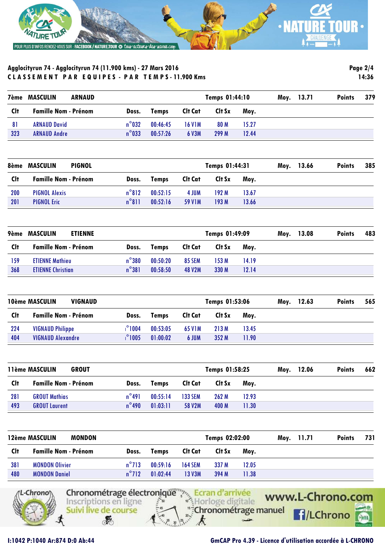

|             | <b>7ème MASCULIN</b>        | ARNAUD |                 |          |               | Temps 01:44:10 |       | Moy. 13.71 | <b>Points</b> | 379 |
|-------------|-----------------------------|--------|-----------------|----------|---------------|----------------|-------|------------|---------------|-----|
| <b>C</b> lt | <b>Famille Nom - Prénom</b> |        | Doss.           | Temps    | Clt Cat       | Clt Sx         | Mov.  |            |               |     |
| -81         | <b>ARNAUD David</b>         |        | $n^{\circ}$ 032 | 00:46:45 | <b>16 VIM</b> | 80 M           | 15.27 |            |               |     |
| 323         | <b>ARNAUD Andre</b>         |        | $n^{\circ}$ 033 | 00:57:26 | 6 V3M         | 299 M          | 12.44 |            |               |     |

| 8ème        | MASCULIN                    | <b>PIGNOL</b> |                 |          |                     | Temps 01:44:31 |       | Moy. 13.66 | <b>Points</b> | 385 |
|-------------|-----------------------------|---------------|-----------------|----------|---------------------|----------------|-------|------------|---------------|-----|
| <b>C</b> lt | <b>Famille Nom - Prénom</b> |               | Doss.           | Temps    | Clt Cat             | Clt Sx         | Mov.  |            |               |     |
| 200         | <b>PIGNOL Alexis</b>        |               | $n^{\circ}812$  | 00:52:15 | 4 JUM               | 192 M          | 13.67 |            |               |     |
| 201         | <b>PIGNOL Eric</b>          |               | $n^{\circ}$ 811 | 00:52:16 | 59 V <sub>1</sub> M | 193 M          | 13.66 |            |               |     |

|             | 9ème MASCULIN<br><b>ETIENNE</b> |                |          |                     | Temps 01:49:09 |       | Moy. 13.08 | <b>Points</b> | 483 |
|-------------|---------------------------------|----------------|----------|---------------------|----------------|-------|------------|---------------|-----|
| <b>C</b> lt | <b>Famille Nom - Prénom</b>     | Doss.          | Temps    | Clt Cat             | Clt Sx         | Mov.  |            |               |     |
| 159         | <b>ETIENNE Mathieu</b>          | $n^{\circ}380$ | 00:50:20 | 85 SEM              | 153 M          | 14.19 |            |               |     |
| 368         | <b>ETIENNE Christian</b>        | $n^{\circ}381$ | 00:58:50 | 48 V <sub>2</sub> M | 330 M          | 12.14 |            |               |     |

|             | 10ème MASCULIN<br><b>VIGNAUD</b> |                |              |          | Temps 01:53:06 |       | Moy. 12.63 | <b>Points</b> | 565 |
|-------------|----------------------------------|----------------|--------------|----------|----------------|-------|------------|---------------|-----|
| <b>C</b> lt | <b>Famille Nom - Prénom</b>      | Doss.          | <b>Temps</b> | Clt Cat  | Clt Sx         | Mov.  |            |               |     |
| 224         | <b>VIGNAUD Philippe</b>          | $^{\circ}1004$ | 00:53:05     | 65 V 1 M | 213 M          | 13.45 |            |               |     |
| 404         | <b>VIGNAUD Alexandre</b>         | $^{\circ}1005$ | 01:00:02     | 6 JUM    | 352M           | 11.90 |            |               |     |

|             | 11ème MASCULIN<br><b>GROUT</b> |                 |          |                | Temps 01:58:25 |       | Moy. 12.06 | <b>Points</b> | 662 |
|-------------|--------------------------------|-----------------|----------|----------------|----------------|-------|------------|---------------|-----|
| <b>C</b> lt | <b>Famille Nom - Prénom</b>    | Doss.           | Temps    | Clt Cat        | Clt Sx         | Mov.  |            |               |     |
| 281         | <b>GROUT Mathias</b>           | $n^{\circ}491$  | 00:55:14 | <b>133 SEM</b> | 262 M          | 12.93 |            |               |     |
| 493         | <b>GROUT Laurent</b>           | $n^{\circ}$ 490 | 01:03:11 | <b>58 V2M</b>  | 400 M          | 11.30 |            |               |     |

|             | 12ème MASCULIN<br><b>MONDON</b> |                |              |                | Temps 02:02:00 |       | Moy. 11.71 | <b>Points</b> | 731 |
|-------------|---------------------------------|----------------|--------------|----------------|----------------|-------|------------|---------------|-----|
| <b>C</b> lt | <b>Famille Nom - Prénom</b>     | Doss.          | <b>Temps</b> | Clt Cat        | Clt Sx         | Mov.  |            |               |     |
| 381         | <b>MONDON Olivier</b>           | $n^{\circ}713$ | 00:59:16     | <b>164 SEM</b> | 337 M          | 12.05 |            |               |     |
| 480         | <b>MONDON Daniel</b>            | $n^{\circ}712$ | 01.02.44     | 13 V3M         | 394 M          | 11.38 |            |               |     |



### **I:1042 P:1040 Ar:874 D:0 Ab:44 GmCAP Pro 4.39 - Licence d'utilisation accordée à L-CHRONO**

**Page 2/4 14:36**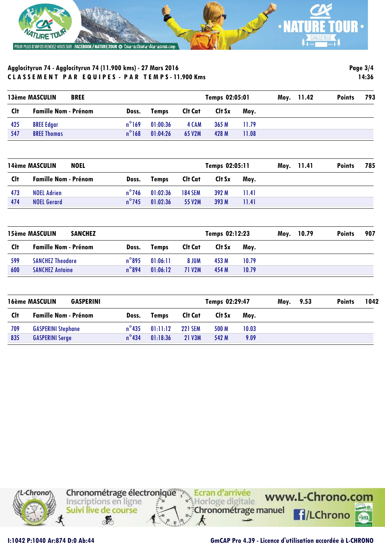

|     | 13ème MASCULIN<br><b>BREE</b> |                 |          |         | Temps 02:05:01 |       |  | Moy. 11.42 | <b>Points</b> | 793 |
|-----|-------------------------------|-----------------|----------|---------|----------------|-------|--|------------|---------------|-----|
| Clt | Famille Nom - Prénom          | Doss.           | Temps    | Clt Cat | Clt Sx         | Mov.  |  |            |               |     |
| 425 | <b>BREE Edgar</b>             | $n^{\circ}169$  | 01:00:36 | 4 CAM   | 365 M          | 11.79 |  |            |               |     |
| 547 | <b>BREE Thomas</b>            | $n^{\circ}$ 168 | 01:04:26 | 65 V2M  | 428 M          | 11.08 |  |            |               |     |

|             | 14ème MASCULIN<br><b>NOEL</b> |                 | Temps 02:05:11 |         |        | Moy. 11.41 | <b>Points</b> | 785 |  |
|-------------|-------------------------------|-----------------|----------------|---------|--------|------------|---------------|-----|--|
| <b>C</b> lt | <b>Famille Nom - Prénom</b>   |                 | Doss. Temps    | Clt Cat | Clt Sx | Mov.       |               |     |  |
| 473         | <b>NOEL Adrien</b>            | $n^{\circ}$ 746 | 01:02:36       | 184 SEM | 392 M  | 11.41      |               |     |  |
| 474         | <b>NOEL Gerard</b>            | $n^{\circ}$ 745 | 01:02:36       | 55 V2M  | 393M   | 11.41      |               |     |  |

|                 | 15ème MASCULIN<br><b>SANCHEZ</b> |                 |              |               | Temps 02:12:23 |       | Moy. 10.79 | <b>Points</b> | 907 |
|-----------------|----------------------------------|-----------------|--------------|---------------|----------------|-------|------------|---------------|-----|
| CH <sub>t</sub> | <b>Famille Nom - Prénom</b>      | Doss.           | <b>Temps</b> | Clt Cat       | Clt Sx         | Mov.  |            |               |     |
| 599             | <b>SANCHEZ Theodore</b>          | $n^{\circ}$ 895 | 01:06:11     | 8 JUM         | 453 M          | 10.79 |            |               |     |
| 600             | <b>SANCHEZ Antoine</b>           | $n^{\circ}894$  | 01:06:12     | <b>71 V2M</b> | 454 M          | 10.79 |            |               |     |

|     | 16ème MASCULIN<br><b>GASPERINI</b> |                 |              | Temps 02:29:47 |        |       | Moy. 9.53 | <b>Points</b> | 1042 |
|-----|------------------------------------|-----------------|--------------|----------------|--------|-------|-----------|---------------|------|
| Clt | <b>Famille Nom - Prénom</b>        | Doss.           | <b>Temps</b> | Clt Cat        | Clt Sx | Mov.  |           |               |      |
| 709 | <b>GASPERINI Stephane</b>          | $n^{\circ}$ 435 | 01:11:12     | <b>221 SEM</b> | 500 M  | 10.03 |           |               |      |
| 835 | <b>GASPERINI Serge</b>             | $n^{\circ}$ 434 | 01:18:36     | 21 V3M         | 542 M  | 9.09  |           |               |      |



**Page 3/4 14:36**